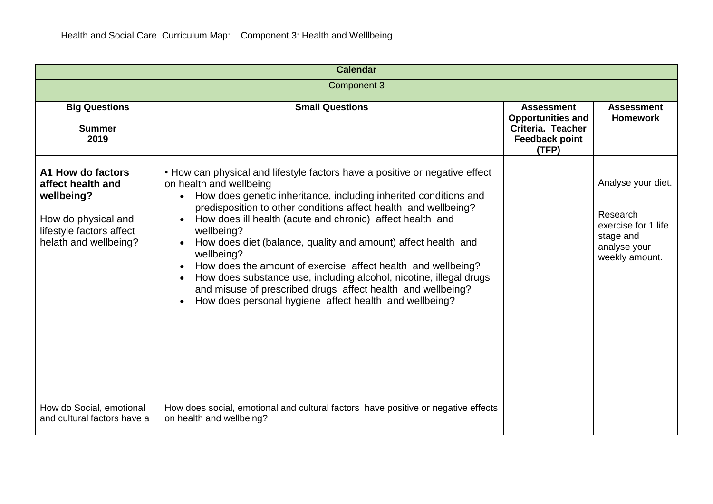| <b>Calendar</b>                                                                                                                  |                                                                                                                                                                                                                                                                                                                                                                                                                                                                                                                                                                                                                                                                        |                                                                                                      |                                                                                                      |  |  |
|----------------------------------------------------------------------------------------------------------------------------------|------------------------------------------------------------------------------------------------------------------------------------------------------------------------------------------------------------------------------------------------------------------------------------------------------------------------------------------------------------------------------------------------------------------------------------------------------------------------------------------------------------------------------------------------------------------------------------------------------------------------------------------------------------------------|------------------------------------------------------------------------------------------------------|------------------------------------------------------------------------------------------------------|--|--|
| Component 3                                                                                                                      |                                                                                                                                                                                                                                                                                                                                                                                                                                                                                                                                                                                                                                                                        |                                                                                                      |                                                                                                      |  |  |
| <b>Big Questions</b><br><b>Summer</b><br>2019                                                                                    | <b>Small Questions</b>                                                                                                                                                                                                                                                                                                                                                                                                                                                                                                                                                                                                                                                 | <b>Assessment</b><br><b>Opportunities and</b><br>Criteria. Teacher<br><b>Feedback point</b><br>(TFP) | <b>Assessment</b><br><b>Homework</b>                                                                 |  |  |
| A1 How do factors<br>affect health and<br>wellbeing?<br>How do physical and<br>lifestyle factors affect<br>helath and wellbeing? | • How can physical and lifestyle factors have a positive or negative effect<br>on health and wellbeing<br>How does genetic inheritance, including inherited conditions and<br>predisposition to other conditions affect health and wellbeing?<br>How does ill health (acute and chronic) affect health and<br>wellbeing?<br>How does diet (balance, quality and amount) affect health and<br>wellbeing?<br>How does the amount of exercise affect health and wellbeing?<br>How does substance use, including alcohol, nicotine, illegal drugs<br>and misuse of prescribed drugs affect health and wellbeing?<br>How does personal hygiene affect health and wellbeing? |                                                                                                      | Analyse your diet.<br>Research<br>exercise for 1 life<br>stage and<br>analyse your<br>weekly amount. |  |  |
| How do Social, emotional<br>and cultural factors have a                                                                          | How does social, emotional and cultural factors have positive or negative effects<br>on health and wellbeing?                                                                                                                                                                                                                                                                                                                                                                                                                                                                                                                                                          |                                                                                                      |                                                                                                      |  |  |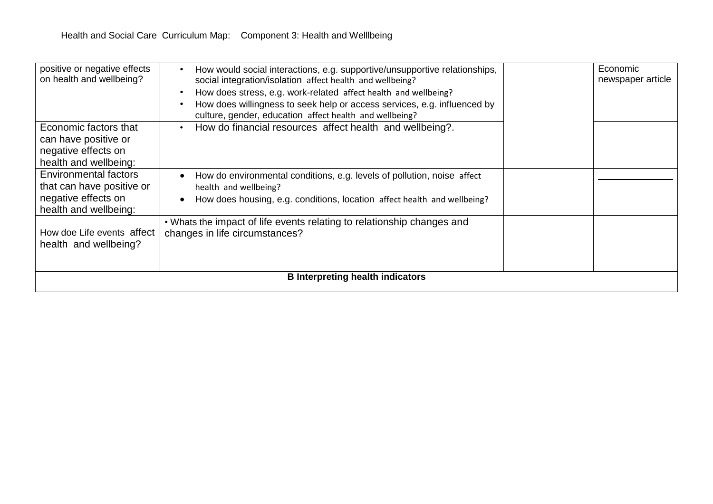| <b>B</b> Interpreting health indicators                                                            |                                                                                                                                                                                                                                                                                                                                                   |  |                               |  |
|----------------------------------------------------------------------------------------------------|---------------------------------------------------------------------------------------------------------------------------------------------------------------------------------------------------------------------------------------------------------------------------------------------------------------------------------------------------|--|-------------------------------|--|
| How doe Life events affect<br>health and wellbeing?                                                | . Whats the impact of life events relating to relationship changes and<br>changes in life circumstances?                                                                                                                                                                                                                                          |  |                               |  |
| Environmental factors<br>that can have positive or<br>negative effects on<br>health and wellbeing: | How do environmental conditions, e.g. levels of pollution, noise affect<br>health and wellbeing?<br>How does housing, e.g. conditions, location affect health and wellbeing?<br>$\bullet$                                                                                                                                                         |  |                               |  |
| Economic factors that<br>can have positive or<br>negative effects on<br>health and wellbeing:      | How do financial resources affect health and wellbeing?.                                                                                                                                                                                                                                                                                          |  |                               |  |
| positive or negative effects<br>on health and wellbeing?                                           | How would social interactions, e.g. supportive/unsupportive relationships,<br>social integration/isolation affect health and wellbeing?<br>How does stress, e.g. work-related affect health and wellbeing?<br>How does willingness to seek help or access services, e.g. influenced by<br>culture, gender, education affect health and wellbeing? |  | Economic<br>newspaper article |  |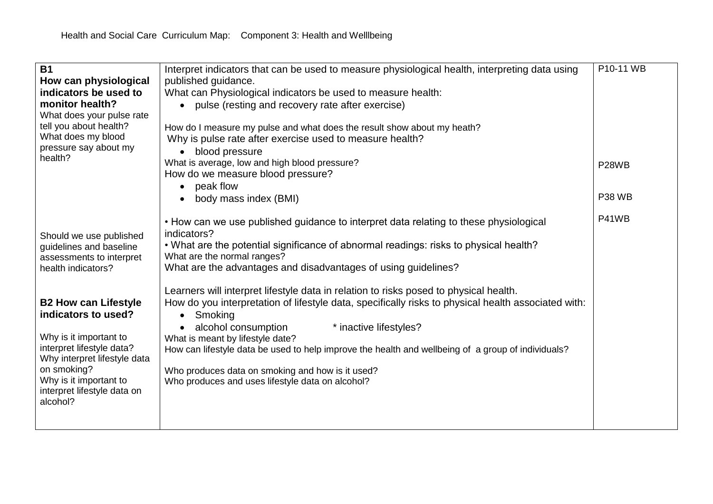| <b>B1</b>                                             | Interpret indicators that can be used to measure physiological health, interpreting data using      | P10-11 WB          |  |
|-------------------------------------------------------|-----------------------------------------------------------------------------------------------------|--------------------|--|
| How can physiological                                 | published guidance.                                                                                 |                    |  |
| indicators be used to                                 | What can Physiological indicators be used to measure health:                                        |                    |  |
| monitor health?                                       |                                                                                                     |                    |  |
| What does your pulse rate                             | pulse (resting and recovery rate after exercise)                                                    |                    |  |
| tell you about health?                                | How do I measure my pulse and what does the result show about my heath?                             |                    |  |
| What does my blood                                    | Why is pulse rate after exercise used to measure health?                                            |                    |  |
| pressure say about my                                 | blood pressure<br>$\bullet$                                                                         |                    |  |
| health?                                               | What is average, low and high blood pressure?                                                       |                    |  |
|                                                       | How do we measure blood pressure?                                                                   | P <sub>28</sub> WB |  |
|                                                       | peak flow<br>$\bullet$                                                                              |                    |  |
|                                                       | body mass index (BMI)                                                                               | <b>P38 WB</b>      |  |
|                                                       |                                                                                                     |                    |  |
|                                                       | • How can we use published guidance to interpret data relating to these physiological               | P41WB              |  |
|                                                       | indicators?                                                                                         |                    |  |
| Should we use published<br>guidelines and baseline    | . What are the potential significance of abnormal readings: risks to physical health?               |                    |  |
| assessments to interpret                              | What are the normal ranges?                                                                         |                    |  |
| health indicators?                                    | What are the advantages and disadvantages of using guidelines?                                      |                    |  |
|                                                       |                                                                                                     |                    |  |
|                                                       | Learners will interpret lifestyle data in relation to risks posed to physical health.               |                    |  |
| <b>B2 How can Lifestyle</b>                           | How do you interpretation of lifestyle data, specifically risks to physical health associated with: |                    |  |
| indicators to used?                                   | Smoking<br>$\bullet$                                                                                |                    |  |
|                                                       | alcohol consumption<br>* inactive lifestyles?                                                       |                    |  |
| Why is it important to                                | What is meant by lifestyle date?                                                                    |                    |  |
| interpret lifestyle data?                             | How can lifestyle data be used to help improve the health and wellbeing of a group of individuals?  |                    |  |
| Why interpret lifestyle data                          |                                                                                                     |                    |  |
| on smoking?                                           | Who produces data on smoking and how is it used?                                                    |                    |  |
| Why is it important to<br>interpret lifestyle data on | Who produces and uses lifestyle data on alcohol?                                                    |                    |  |
| alcohol?                                              |                                                                                                     |                    |  |
|                                                       |                                                                                                     |                    |  |
|                                                       |                                                                                                     |                    |  |